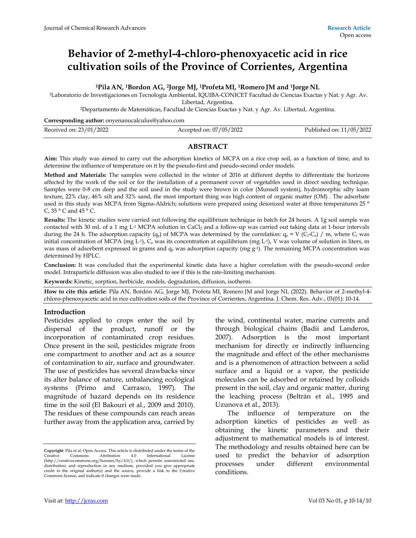# **Behavior of 2-methyl-4-chloro-phenoxyacetic acid in rice cultivation soils of the Province of Corrientes, Argentina**

## **<sup>1</sup>Pila AN, 1Bordon AG, 2Jorge MJ, 1Profeta MI, 1Romero JM and 1Jorge NL**

<sup>1</sup>Laboratorio de Investigaciones en Tecnología Ambiental, IQUIBA-CONICET Facultad de Ciencias Exactas y Nat. y Agr. Av.

Libertad, Argentina.

<sup>2</sup>Departamento de Matemáticas, Facultad de Ciencias Exactas y Nat. y Agr. Av. Libertad, Argentina.

**Corresponding author:** onyenanucalculus@yahoo.com

| Received on: 23/01/2022 | Accepted on: 07/05/2022 | Published on: 11/05/2022 |
|-------------------------|-------------------------|--------------------------|
|                         |                         |                          |

## **ABSTRACT**

**Aim:** This study was aimed to carry out the adsorption kinetics of MCPA on a rice crop soil, as a function of time, and to determine the influence of temperature on it by the pseudo-first and pseudo-second order models.

**Method and Materials:** The samples were collected in the winter of 2016 at different depths to differentiate the horizons affected by the work of the soil or for the installation of a permanent cover of vegetables used in direct seeding technique. Samples were 0-8 cm deep and the soil used in the study were brown in color (Munsell system), hydromorphic silty loam texture, 22% clay, 46% silt and 32% sand, the most important thing was high content of organic matter (OM) . The adsorbate used in this study was MCPA from Sigma-Aldrich; solutions were prepared using deionized water at three temperatures 25 ° C,  $35 \degree$  C and  $45 \degree$  C.

**Results:** The kinetic studies were carried out following the equilibrium technique in batch for 24 hours. A 1g soil sample was contacted with 30 mL of a 1 mg L<sup>-1</sup> MCPA solution in CaCl<sub>2</sub> and a follow-up was carried out taking data at 1-hour intervals during the 24 h. The adsorption capacity (qe) of MCPA was determined by the correlation:  $q_e = V (C_i-C_e) / m$ , where  $C_i$  was initial concentration of MCPA (mg L<sup>-1</sup>),  $C_e$  was its concentration at equilibrium (mg L<sup>-1</sup>), V was volume of solution in liters, m was mass of adsorbent expressed in grams and  $q_e$  was adsorption capacity (mg  $g<sup>-1</sup>$ ). The remaining MCPA concentration was determined by HPLC.

**Conclusion:** It was concluded that the experimental kinetic data have a higher correlation with the pseudo-second order model. Intraparticle diffusion was also studied to see if this is the rate-limiting mechanism.

**Keywords:** Kinetic, sorption, herbicide, models, degradation, diffusion, isotherm*.*

**How to cite this article**: Pila AN, Bordón AG, Jorge MJ, Profeta MI, Romero JM and Jorge NL (2022). Behavior of 2-methyl-4 chloro-phenoxyacetic acid in rice cultivation soils of the Province of Corrientes, Argentina. J. Chem. Res. Adv., 03(01): 10-14.

## **Introduction**

Pesticides applied to crops enter the soil by dispersal of the product, runoff or the incorporation of contaminated crop residues. Once present in the soil, pesticides migrate from one compartment to another and act as a source of contamination to air, surface and groundwater. The use of pesticides has several drawbacks since its alter balance of nature, unbalancing ecological systems (Primo and Carrasco, 1997). The magnitude of hazard depends on its residence time in the soil (El Bakouri et al., 2009 and 2010). The residues of these compounds can reach areas further away from the application area, carried by

the wind, continental water, marine currents and through biological chains (Badii and Landeros, 2007). Adsorption is the most important mechanism for directly or indirectly influencing the magnitude and effect of the other mechanisms and is a phenomenon of attraction between a solid surface and a liquid or a vapor, the pesticide molecules can be adsorbed or retained by colloids present in the soil, clay and organic matter, during the leaching process (Beltrán et al., 1995 and Uzunova et al., 2013).

 The influence of temperature on the adsorption kinetics of pesticides as well as obtaining the kinetic parameters and their adjustment to mathematical models is of interest. The methodology and results obtained here can be used to predict the behavior of adsorption processes under different environmental conditions.

**Copyright**: Pila et al. Open Access. This article is distributed under the terms of the Creative Commons Attribution 4.0 International License (http://creativecommons.org/licenses/by/4.0/), which permits unrestricted use, distribution, and reproduction in any medium, provided you give appropriate credit to the original author(s) and the source, provide a link to the Creative Commons license, and indicate if changes were made.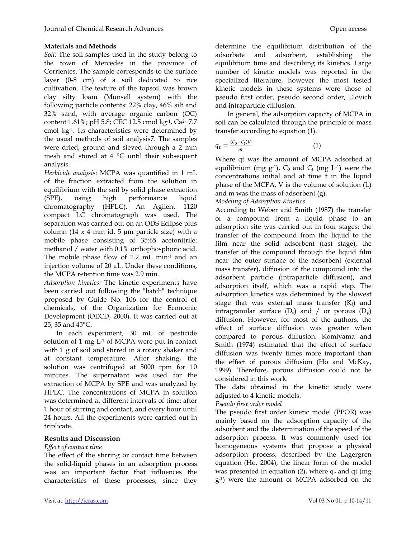## **Materials and Methods**

*Soil:* The soil samples used in the study belong to the town of Mercedes in the province of Corrientes. The sample corresponds to the surface layer (0-8 cm) of a soil dedicated to rice cultivation. The texture of the topsoil was brown clay silty loam (Munsell system) with the following particle contents: 22% clay, 46% silt and 32% sand, with average organic carbon (OC) content 1.61%; pH 5.8; CEC 12.5 cmol kg-1, Ca2+ 7.7 cmol kg-1. Its characteristics were determined by the usual methods of soil analysis7. The samples were dried, ground and sieved through a 2 mm mesh and stored at 4 °C until their subsequent analysis.

*Herbicide analysis:* MCPA was quantified in 1 mL of the fraction extracted from the solution in equilibrium with the soil by solid phase extraction (SPE), using high performance liquid chromatography (HPLC). An Agilent 1120 compact LC chromatograph was used. The separation was carried out on an ODS Eclipse plus column (14  $\times$  4 mm id, 5 µm particle size) with a mobile phase consisting of 35:65 acetonitrile: methanol / water with 0.1% orthophosphoric acid. The mobile phase flow of 1.2 mL min<sup>-1</sup> and an injection volume of 20 µL. Under these conditions, the MCPA retention time was 2.9 min.

*Adsorption kinetics:* The kinetic experiments have been carried out following the "batch" technique proposed by Guide No. 106 for the control of chemicals, of the Organization for Economic Development (OECD, 2000). It was carried out at 25, 35 and 45°C.

In each experiment, 30 mL of pesticide solution of 1 mg L-1 of MCPA were put in contact with 1 g of soil and stirred in a rotary shaker and at constant temperature. After shaking, the solution was centrifuged at 5000 rpm for 10 minutes. The supernatant was used for the extraction of MCPA by SPE and was analyzed by HPLC. The concentrations of MCPA in solution was determined at different intervals of time: after 1 hour of stirring and contact, and every hour until 24 hours. All the experiments were carried out in triplicate.

## **Results and Discussion**

## *Effect of contact time*

The effect of the stirring or contact time between the solid-liquid phases in an adsorption process was an important factor that influences the characteristics of these processes, since they

determine the equilibrium distribution of the adsorbate and adsorbent, establishing the equilibrium time and describing its kinetics. Large number of kinetic models was reported in the specialized literature, however the most tested kinetic models in these systems were those of pseudo first order, pseudo second order, Elovich and intraparticle diffusion.

In general, the adsorption capacity of MCPA in soil can be calculated through the principle of mass transfer according to equation (1).

$$
q_t = \frac{(c_o - c_t)v}{m} \tag{1}
$$

Where qt was the amount of MCPA adsorbed at equilibrium (mg  $g^{-1}$ ),  $C_0$  and  $C_t$  (mg  $L^{-1}$ ) were the concentrations initial and at time t in the liquid phase of the MCPA, V is the volume of solution (L) and m was the mass of adsorbent (g).

*Modeling of Adsorption Kinetics* 

According to Weber and Smith (1987) the transfer of a compound from a liquid phase to an adsorption site was carried out in four stages: the transfer of the compound from the liquid to the film near the solid adsorbent (fast stage), the transfer of the compound through the liquid film near the outer surface of the adsorbent (external mass transfer), diffusion of the compound into the adsorbent particle (intraparticle diffusion), and adsorption itself, which was a rapid step. The adsorption kinetics was determined by the slowest stage that was external mass transfer  $(K_f)$  and intragranular surface  $(D_s)$  and / or porous  $(D_p)$ diffusion. However, for most of the authors, the effect of surface diffusion was greater when compared to porous diffusion. Komiyama and Smith (1974) estimated that the effect of surface diffusion was twenty times more important than the effect of porous diffusion (Ho and McKay, 1999). Therefore, porous diffusion could not be considered in this work.

The data obtained in the kinetic study were adjusted to 4 kinetic models.

*Pseudo first order model* 

The pseudo first order kinetic model (PPOR) was mainly based on the adsorption capacity of the adsorbent and the determination of the speed of the adsorption process. It was commonly used for homogeneous systems that propose a physical adsorption process, described by the Lagergren equation (Ho, 2004), the linear form of the model was presented in equation (2), where  $q_e$  and qt (mg) g-1) were the amount of MCPA adsorbed on the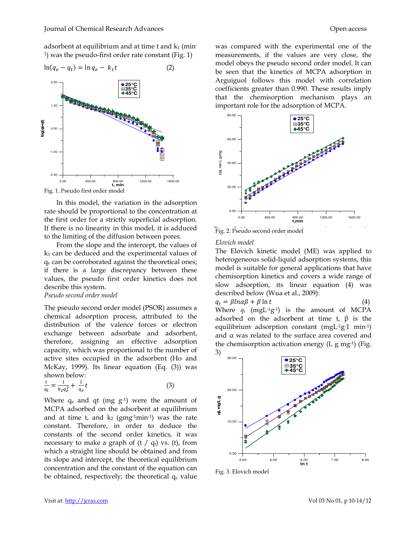adsorbent at equilibrium and at time t and  $k_1$  (min-1 ) was the pseudo-first order rate constant (Fig. 1)



In this model, the variation in the adsorption rate should be proportional to the concentration at the first order for a strictly superficial adsorption. If there is no linearity in this model, it is adduced to the limiting of the diffusion between pores.

From the slope and the intercept, the values of  $k_1$  can be deduced and the experimental values of qe can be corroborated against the theoretical ones; if there is a large discrepancy between these values, the pseudo first order kinetics does not describe this system.

#### *Pseudo second order model*

The pseudo second order model (PSOR) assumes a chemical adsorption process, attributed to the distribution of the valence forces or electron exchange between adsorbate and adsorbent, therefore, assigning an effective adsorption capacity, which was proportional to the number of active sites occupied in the adsorbent (Ho and McKay, 1999). Its linear equation (Eq. (3)) was shown below:

$$
\frac{t}{q_t} = \frac{1}{k_2 q_e^2} + \frac{1}{q_e} t \tag{3}
$$

Where  $q_e$  and qt (mg  $g^{-1}$ ) were the amount of MCPA adsorbed on the adsorbent at equilibrium and at time t, and  $k_2$  (gmg-1min-1) was the rate constant. Therefore, in order to deduce the constants of the second order kinetics, it was necessary to make a graph of  $(t / q_t)$  vs.  $(t)$ , from which a straight line should be obtained and from its slope and intercept, the theoretical equilibrium concentration and the constant of the equation can be obtained, respectively; the theoretical  $q_e$  value was compared with the experimental one of the measurements, if the values are very close, the model obeys the pseudo second order model. It can be seen that the kinetics of MCPA adsorption in Arguiguol follows this model with correlation coefficients greater than 0.990. These results imply that the chemisorption mechanism plays an important role for the adsorption of MCPA.



Fig. 2. Pseudo second order model

# *Elovich model*

The Elovich kinetic model (ME) was applied to heterogeneous solid-liquid adsorption systems, this model is suitable for general applications that have chemisorption kinetics and covers a wide range of slow adsorption, its linear equation (4) was described below (Wua et al., 2009):

$$
q_t = \beta \ln \alpha \beta + \beta \ln t \tag{4}
$$

Where  $q_t$  (mgL<sup>-1</sup>g<sup>-1</sup>) is the amount of MCPA adsorbed on the adsorbent at time t,  $\beta$  is the equilibrium adsorption constant (mgL-1g-1 min-1) and α was related to the surface area covered and the chemisorption activation energy  $(L g mg<sup>-1</sup>)$  (Fig. 3)



Fig. 3. Elovich model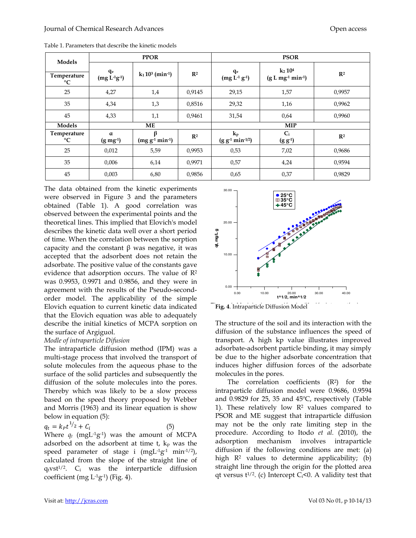| Models                     | <b>PPOR</b>                  |                             |                | <b>PSOR</b>                                          |                                  |                |  |
|----------------------------|------------------------------|-----------------------------|----------------|------------------------------------------------------|----------------------------------|----------------|--|
| Temperature<br>$^{\circ}C$ | $q_e$<br>$(mg L^{1}g^{1})$   | $k_1 10^3$ (min-1)          | $\mathbb{R}^2$ | qe<br>$(mg L-1 g-1)$                                 | $k_2 10^4$<br>$(g L mg-1 min-1)$ | $\mathbb{R}^2$ |  |
| 25                         | 4,27                         | 1,4                         | 0,9145         | 29,15                                                | 1,57                             | 0,9957         |  |
| 35                         | 4,34                         | 1,3                         | 0,8516         | 29,32                                                | 1,16                             | 0,9962         |  |
| 45                         | 4,33                         | 1,1                         | 0,9461         | 31,54                                                | 0,64                             | 0,9960         |  |
| Models                     | <b>ME</b>                    |                             |                |                                                      | <b>MIP</b>                       |                |  |
| Temperature<br>$^{\circ}C$ | $\alpha$<br>$(g \, mg^{-1})$ | ß<br>$(mg g^{-1} min^{-1})$ | $\mathbb{R}^2$ | $\mathbf{k}_{\mathrm{p}}$<br>$(g g^{-1} min^{-1/2})$ | $C_i$<br>$(g g-1)$               | $\mathbb{R}^2$ |  |
| 25                         | 0,012                        | 5,59                        | 0,9953         | 0,53                                                 | 7,02                             | 0,9686         |  |
| 35                         | 0,006                        | 6,14                        | 0,9971         | 0,57                                                 | 4,24                             | 0,9594         |  |
| 45                         | 0,003                        | 6,80                        | 0,9856         | 0,65                                                 | 0,37                             | 0,9829         |  |

Table 1. Parameters that describe the kinetic models

The data obtained from the kinetic experiments were observed in Figure 3 and the parameters obtained (Table 1). A good correlation was observed between the experimental points and the theoretical lines. This implied that Elovich's model describes the kinetic data well over a short period of time. When the correlation between the sorption capacity and the constant β was negative, it was accepted that the adsorbent does not retain the adsorbate. The positive value of the constants gave evidence that adsorption occurs. The value of R<sup>2</sup> was 0.9953, 0.9971 and 0.9856, and they were in agreement with the results of the Pseudo-secondorder model. The applicability of the simple Elovich equation to current kinetic data indicated that the Elovich equation was able to adequately describe the initial kinetics of MCPA sorption on the surface of Argiguol.

#### *Modle of intraparticle Difusion*

The intraparticle diffusion method (IPM) was a multi-stage process that involved the transport of solute molecules from the aqueous phase to the surface of the solid particles and subsequently the diffusion of the solute molecules into the pores. Thereby which was likely to be a slow process based on the speed theory proposed by Webber and Morris (1963) and its linear equation is show below in equation (5):

 $q_t = k_P t^{1/2} + C_i$  $(5)$ Where  $q_t$  (mgL<sup>-1</sup>g<sup>-1</sup>) was the amount of MCPA adsorbed on the adsorbent at time  $t$ ,  $k_p$  was the speed parameter of stage i  $(mgL^{-1}g^{-1} \text{ min}^{-1/2})$ , calculated from the slope of the straight line of  $q_t v s t^{1/2}$ .  $C_i$  was the interparticle diffusion coefficient (mg  $L^{-1}g^{-1}$ ) (Fig. 4).





The structure of the soil and its interaction with the diffusion of the substance influences the speed of transport. A high kp value illustrates improved adsorbate-adsorbent particle binding, it may simply be due to the higher adsorbate concentration that induces higher diffusion forces of the adsorbate molecules in the pores.

The correlation coefficients  $(R^2)$  for the intraparticle diffusion model were 0.9686, 0.9594 and 0.9829 for 25, 35 and 45ºC, respectively (Table 1). These relatively low  $\mathbb{R}^2$  values compared to PSOR and ME suggest that intraparticle diffusion may not be the only rate limiting step in the procedure. According to Itodo *et al.* (2010), the adsorption mechanism involves intraparticle diffusion if the following conditions are met: (a) high R<sup>2</sup> values to determine applicability; (b) straight line through the origin for the plotted area qt versus  $t^{1/2}$ . (c) Intercept C<sub>i</sub><0. A validity test that